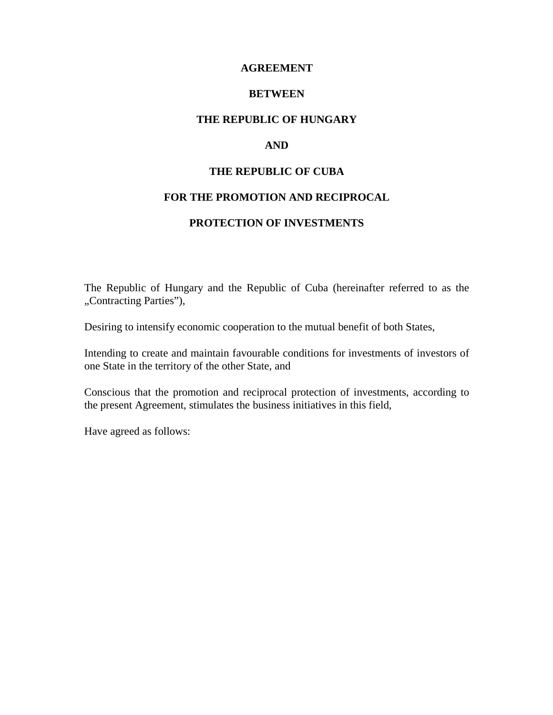#### **AGREEMENT**

#### **BETWEEN**

### **THE REPUBLIC OF HUNGARY**

#### **AND**

#### **THE REPUBLIC OF CUBA**

#### **FOR THE PROMOTION AND RECIPROCAL**

#### **PROTECTION OF INVESTMENTS**

The Republic of Hungary and the Republic of Cuba (hereinafter referred to as the "Contracting Parties"),

Desiring to intensify economic cooperation to the mutual benefit of both States,

Intending to create and maintain favourable conditions for investments of investors of one State in the territory of the other State, and

Conscious that the promotion and reciprocal protection of investments, according to the present Agreement, stimulates the business initiatives in this field,

Have agreed as follows: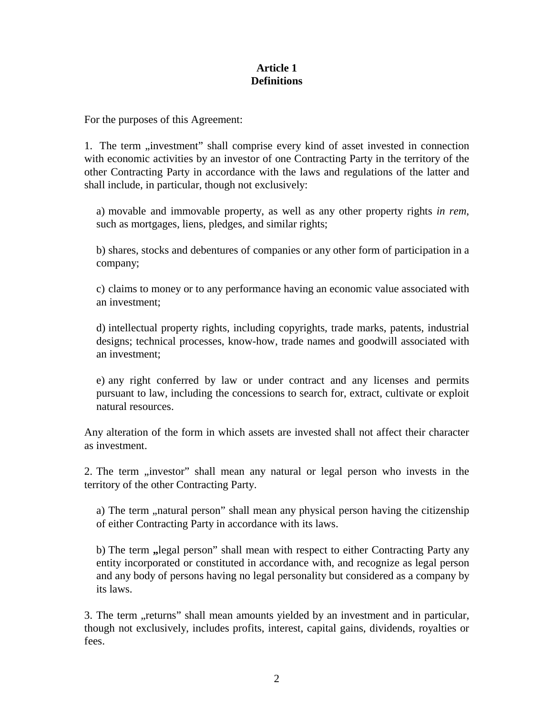## **Article 1 Definitions**

For the purposes of this Agreement:

1. The term "investment" shall comprise every kind of asset invested in connection with economic activities by an investor of one Contracting Party in the territory of the other Contracting Party in accordance with the laws and regulations of the latter and shall include, in particular, though not exclusively:

a) movable and immovable property, as well as any other property rights *in rem*, such as mortgages, liens, pledges, and similar rights;

b) shares, stocks and debentures of companies or any other form of participation in a company;

c) claims to money or to any performance having an economic value associated with an investment;

d) intellectual property rights, including copyrights, trade marks, patents, industrial designs; technical processes, know-how, trade names and goodwill associated with an investment;

e) any right conferred by law or under contract and any licenses and permits pursuant to law, including the concessions to search for, extract, cultivate or exploit natural resources.

Any alteration of the form in which assets are invested shall not affect their character as investment.

2. The term "investor" shall mean any natural or legal person who invests in the territory of the other Contracting Party.

a) The term , natural person" shall mean any physical person having the citizenship of either Contracting Party in accordance with its laws.

b) The term **"**legal person" shall mean with respect to either Contracting Party any entity incorporated or constituted in accordance with, and recognize as legal person and any body of persons having no legal personality but considered as a company by its laws.

3. The term "returns" shall mean amounts yielded by an investment and in particular, though not exclusively, includes profits, interest, capital gains, dividends, royalties or fees.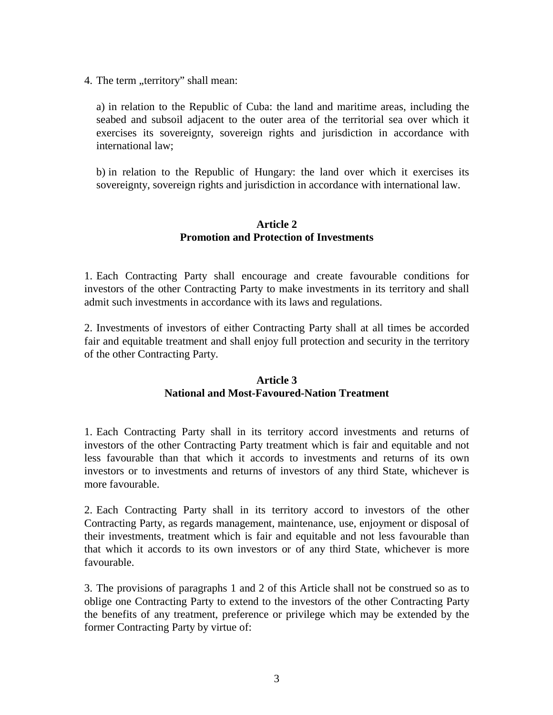4. The term "territory" shall mean:

a) in relation to the Republic of Cuba: the land and maritime areas, including the seabed and subsoil adjacent to the outer area of the territorial sea over which it exercises its sovereignty, sovereign rights and jurisdiction in accordance with international law;

b) in relation to the Republic of Hungary: the land over which it exercises its sovereignty, sovereign rights and jurisdiction in accordance with international law.

### **Article 2 Promotion and Protection of Investments**

1. Each Contracting Party shall encourage and create favourable conditions for investors of the other Contracting Party to make investments in its territory and shall admit such investments in accordance with its laws and regulations.

2. Investments of investors of either Contracting Party shall at all times be accorded fair and equitable treatment and shall enjoy full protection and security in the territory of the other Contracting Party.

### **Article 3 National and Most-Favoured-Nation Treatment**

1. Each Contracting Party shall in its territory accord investments and returns of investors of the other Contracting Party treatment which is fair and equitable and not less favourable than that which it accords to investments and returns of its own investors or to investments and returns of investors of any third State, whichever is more favourable.

2. Each Contracting Party shall in its territory accord to investors of the other Contracting Party, as regards management, maintenance, use, enjoyment or disposal of their investments, treatment which is fair and equitable and not less favourable than that which it accords to its own investors or of any third State, whichever is more favourable.

3. The provisions of paragraphs 1 and 2 of this Article shall not be construed so as to oblige one Contracting Party to extend to the investors of the other Contracting Party the benefits of any treatment, preference or privilege which may be extended by the former Contracting Party by virtue of: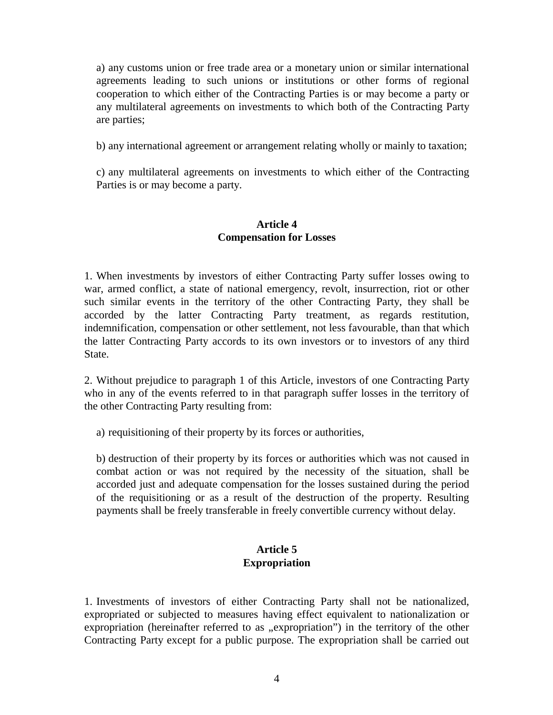a) any customs union or free trade area or a monetary union or similar international agreements leading to such unions or institutions or other forms of regional cooperation to which either of the Contracting Parties is or may become a party or any multilateral agreements on investments to which both of the Contracting Party are parties;

b) any international agreement or arrangement relating wholly or mainly to taxation;

c) any multilateral agreements on investments to which either of the Contracting Parties is or may become a party.

### **Article 4 Compensation for Losses**

1. When investments by investors of either Contracting Party suffer losses owing to war, armed conflict, a state of national emergency, revolt, insurrection, riot or other such similar events in the territory of the other Contracting Party, they shall be accorded by the latter Contracting Party treatment, as regards restitution, indemnification, compensation or other settlement, not less favourable, than that which the latter Contracting Party accords to its own investors or to investors of any third State.

2. Without prejudice to paragraph 1 of this Article, investors of one Contracting Party who in any of the events referred to in that paragraph suffer losses in the territory of the other Contracting Party resulting from:

a) requisitioning of their property by its forces or authorities,

b) destruction of their property by its forces or authorities which was not caused in combat action or was not required by the necessity of the situation, shall be accorded just and adequate compensation for the losses sustained during the period of the requisitioning or as a result of the destruction of the property. Resulting payments shall be freely transferable in freely convertible currency without delay.

# **Article 5 Expropriation**

1. Investments of investors of either Contracting Party shall not be nationalized, expropriated or subjected to measures having effect equivalent to nationalization or expropriation (hereinafter referred to as "expropriation") in the territory of the other Contracting Party except for a public purpose. The expropriation shall be carried out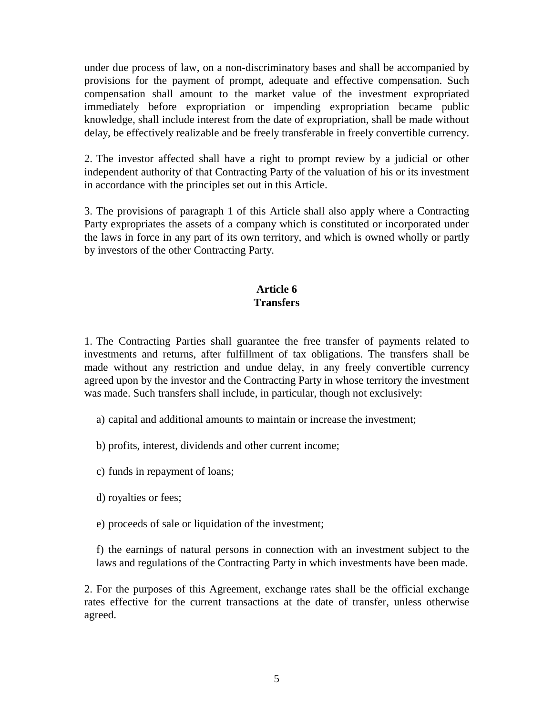under due process of law, on a non-discriminatory bases and shall be accompanied by provisions for the payment of prompt, adequate and effective compensation. Such compensation shall amount to the market value of the investment expropriated immediately before expropriation or impending expropriation became public knowledge, shall include interest from the date of expropriation, shall be made without delay, be effectively realizable and be freely transferable in freely convertible currency.

2. The investor affected shall have a right to prompt review by a judicial or other independent authority of that Contracting Party of the valuation of his or its investment in accordance with the principles set out in this Article.

3. The provisions of paragraph 1 of this Article shall also apply where a Contracting Party expropriates the assets of a company which is constituted or incorporated under the laws in force in any part of its own territory, and which is owned wholly or partly by investors of the other Contracting Party.

# **Article 6 Transfers**

1. The Contracting Parties shall guarantee the free transfer of payments related to investments and returns, after fulfillment of tax obligations. The transfers shall be made without any restriction and undue delay, in any freely convertible currency agreed upon by the investor and the Contracting Party in whose territory the investment was made. Such transfers shall include, in particular, though not exclusively:

- a) capital and additional amounts to maintain or increase the investment;
- b) profits, interest, dividends and other current income;
- c) funds in repayment of loans;
- d) royalties or fees;
- e) proceeds of sale or liquidation of the investment;

f) the earnings of natural persons in connection with an investment subject to the laws and regulations of the Contracting Party in which investments have been made.

2. For the purposes of this Agreement, exchange rates shall be the official exchange rates effective for the current transactions at the date of transfer, unless otherwise agreed.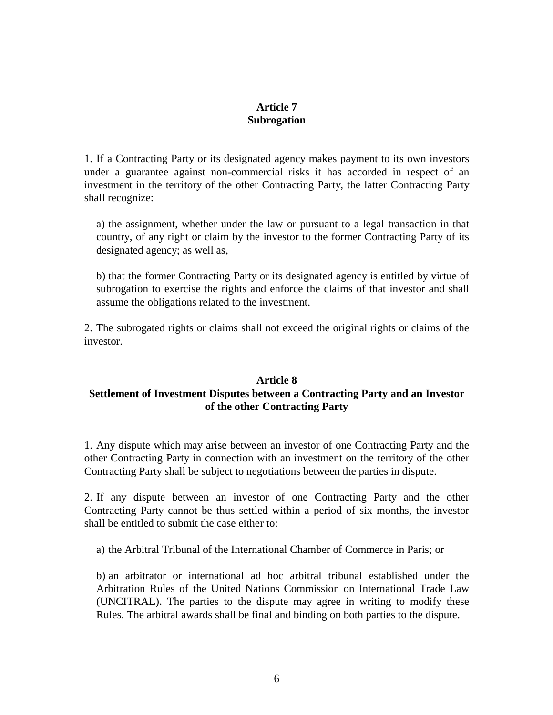# **Article 7 Subrogation**

1. If a Contracting Party or its designated agency makes payment to its own investors under a guarantee against non-commercial risks it has accorded in respect of an investment in the territory of the other Contracting Party, the latter Contracting Party shall recognize:

a) the assignment, whether under the law or pursuant to a legal transaction in that country, of any right or claim by the investor to the former Contracting Party of its designated agency; as well as,

b) that the former Contracting Party or its designated agency is entitled by virtue of subrogation to exercise the rights and enforce the claims of that investor and shall assume the obligations related to the investment.

2. The subrogated rights or claims shall not exceed the original rights or claims of the investor.

## **Article 8 Settlement of Investment Disputes between a Contracting Party and an Investor of the other Contracting Party**

1. Any dispute which may arise between an investor of one Contracting Party and the other Contracting Party in connection with an investment on the territory of the other Contracting Party shall be subject to negotiations between the parties in dispute.

2. If any dispute between an investor of one Contracting Party and the other Contracting Party cannot be thus settled within a period of six months, the investor shall be entitled to submit the case either to:

a) the Arbitral Tribunal of the International Chamber of Commerce in Paris; or

b) an arbitrator or international ad hoc arbitral tribunal established under the Arbitration Rules of the United Nations Commission on International Trade Law (UNCITRAL). The parties to the dispute may agree in writing to modify these Rules. The arbitral awards shall be final and binding on both parties to the dispute.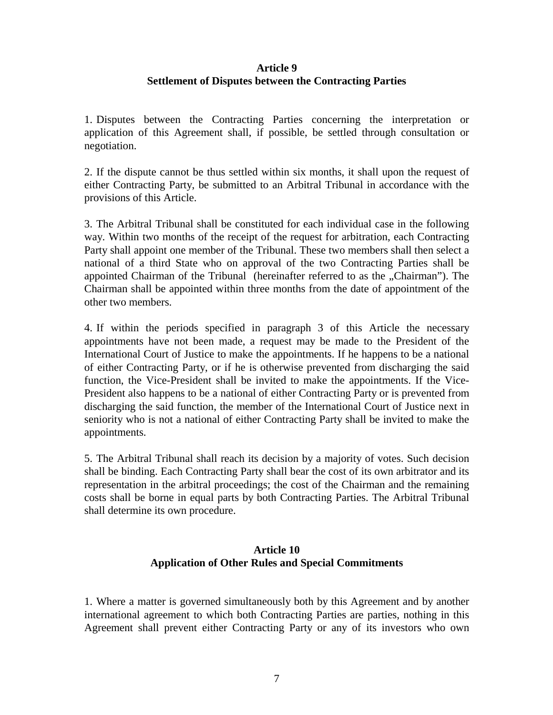## **Article 9 Settlement of Disputes between the Contracting Parties**

1. Disputes between the Contracting Parties concerning the interpretation or application of this Agreement shall, if possible, be settled through consultation or negotiation.

2. If the dispute cannot be thus settled within six months, it shall upon the request of either Contracting Party, be submitted to an Arbitral Tribunal in accordance with the provisions of this Article.

3. The Arbitral Tribunal shall be constituted for each individual case in the following way. Within two months of the receipt of the request for arbitration, each Contracting Party shall appoint one member of the Tribunal. These two members shall then select a national of a third State who on approval of the two Contracting Parties shall be appointed Chairman of the Tribunal (hereinafter referred to as the "Chairman"). The Chairman shall be appointed within three months from the date of appointment of the other two members.

4. If within the periods specified in paragraph 3 of this Article the necessary appointments have not been made, a request may be made to the President of the International Court of Justice to make the appointments. If he happens to be a national of either Contracting Party, or if he is otherwise prevented from discharging the said function, the Vice-President shall be invited to make the appointments. If the Vice-President also happens to be a national of either Contracting Party or is prevented from discharging the said function, the member of the International Court of Justice next in seniority who is not a national of either Contracting Party shall be invited to make the appointments.

5. The Arbitral Tribunal shall reach its decision by a majority of votes. Such decision shall be binding. Each Contracting Party shall bear the cost of its own arbitrator and its representation in the arbitral proceedings; the cost of the Chairman and the remaining costs shall be borne in equal parts by both Contracting Parties. The Arbitral Tribunal shall determine its own procedure.

# **Article 10 Application of Other Rules and Special Commitments**

1. Where a matter is governed simultaneously both by this Agreement and by another international agreement to which both Contracting Parties are parties, nothing in this Agreement shall prevent either Contracting Party or any of its investors who own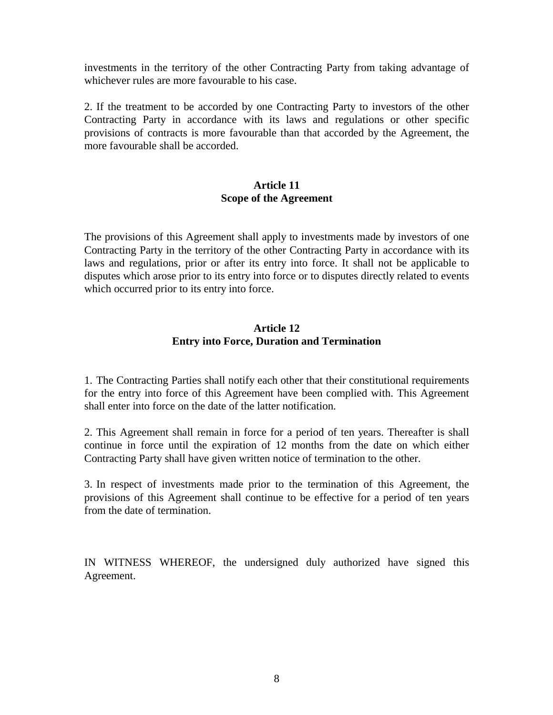investments in the territory of the other Contracting Party from taking advantage of whichever rules are more favourable to his case.

2. If the treatment to be accorded by one Contracting Party to investors of the other Contracting Party in accordance with its laws and regulations or other specific provisions of contracts is more favourable than that accorded by the Agreement, the more favourable shall be accorded.

### **Article 11 Scope of the Agreement**

The provisions of this Agreement shall apply to investments made by investors of one Contracting Party in the territory of the other Contracting Party in accordance with its laws and regulations, prior or after its entry into force. It shall not be applicable to disputes which arose prior to its entry into force or to disputes directly related to events which occurred prior to its entry into force.

## **Article 12 Entry into Force, Duration and Termination**

1. The Contracting Parties shall notify each other that their constitutional requirements for the entry into force of this Agreement have been complied with. This Agreement shall enter into force on the date of the latter notification.

2. This Agreement shall remain in force for a period of ten years. Thereafter is shall continue in force until the expiration of 12 months from the date on which either Contracting Party shall have given written notice of termination to the other.

3. In respect of investments made prior to the termination of this Agreement, the provisions of this Agreement shall continue to be effective for a period of ten years from the date of termination.

IN WITNESS WHEREOF, the undersigned duly authorized have signed this Agreement.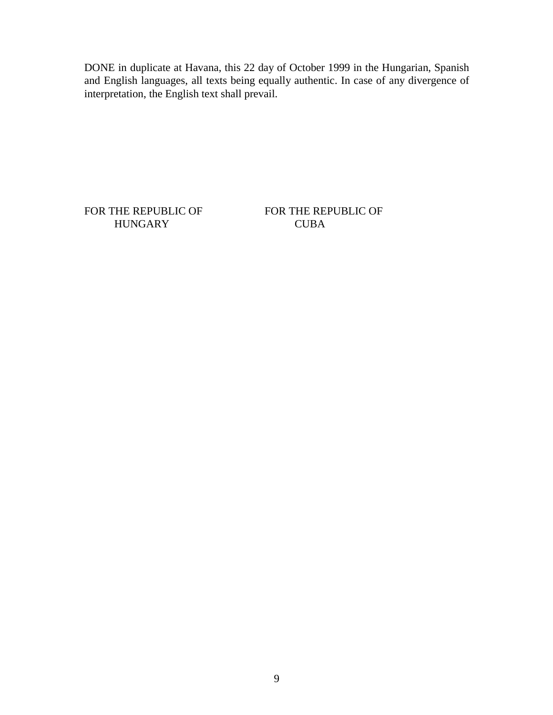DONE in duplicate at Havana, this 22 day of October 1999 in the Hungarian, Spanish and English languages, all texts being equally authentic. In case of any divergence of interpretation, the English text shall prevail.

FOR THE REPUBLIC OF FOR THE REPUBLIC OF HUNGARY CUBA